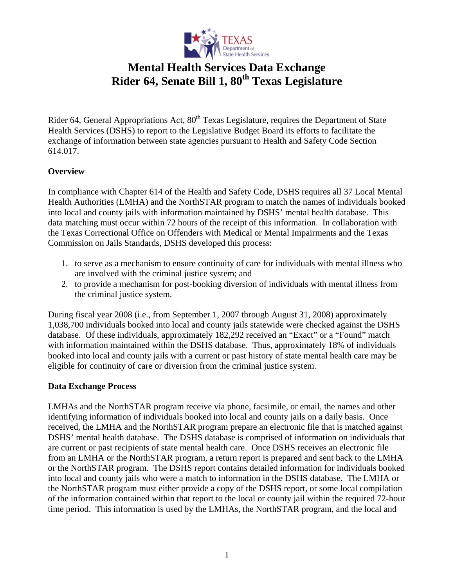

## **Mental Health Services Data Exchange**  Rider 64, Senate Bill 1,  $80^{th}$  Texas Legislature

Rider 64, General Appropriations Act, 80<sup>th</sup> Texas Legislature, requires the Department of State Health Services (DSHS) to report to the Legislative Budget Board its efforts to facilitate the exchange of information between state agencies pursuant to Health and Safety Code Section 614.017.

### **Overview**

In compliance with [Chapter 614 of the Health and Safety Code](http://tlo2.tlc.state.tx.us/statutes/docs/HS/content/word/hs.007.00.000614.00.doc), DSHS requires all 37 Local Mental Health Authorities (LMHA) and the NorthSTAR program to match the names of individuals booked into local and county jails with information maintained by DSHS' mental health database. This data matching must occur within 72 hours of the receipt of this information. In collaboration with the Texas Correctional Office on Offenders with Medical or Mental Impairments and the Texas Commission on Jails Standards, DSHS developed this process:

- 1. to serve as a mechanism to ensure continuity of care for individuals with mental illness who are involved with the criminal justice system; and
- 2. to provide a mechanism for post-booking diversion of individuals with mental illness from the criminal justice system.

During fiscal year 2008 (i.e., from September 1, 2007 through August 31, 2008) approximately 1,038,700 individuals booked into local and county jails statewide were checked against the DSHS database. Of these individuals, approximately 182,292 received an "Exact" or a "Found" match with information maintained within the DSHS database. Thus, approximately 18% of individuals booked into local and county jails with a current or past history of state mental health care may be eligible for continuity of care or diversion from the criminal justice system.

#### **Data Exchange Process**

LMHAs and the NorthSTAR program receive via phone, facsimile, or email, the names and other identifying information of individuals booked into local and county jails on a daily basis. Once received, the LMHA and the NorthSTAR program prepare an electronic file that is matched against DSHS' mental health database. The DSHS database is comprised of information on individuals that are current or past recipients of state mental health care. Once DSHS receives an electronic file from an LMHA or the NorthSTAR program, a return report is prepared and sent back to the LMHA or the NorthSTAR program. The DSHS report contains detailed information for individuals booked into local and county jails who were a match to information in the DSHS database. The LMHA or the NorthSTAR program must either provide a copy of the DSHS report, or some local compilation of the information contained within that report to the local or county jail within the required 72-hour time period. This information is used by the LMHAs, the NorthSTAR program, and the local and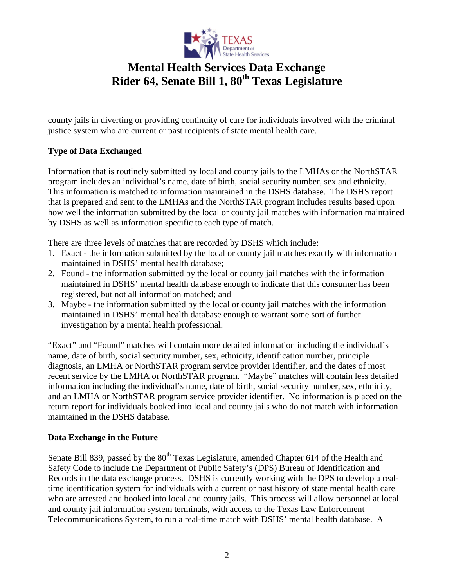

## **Mental Health Services Data Exchange**  Rider 64, Senate Bill 1,  $80^{th}$  Texas Legislature

county jails in diverting or providing continuity of care for individuals involved with the criminal justice system who are current or past recipients of state mental health care.

### **Type of Data Exchanged**

Information that is routinely submitted by local and county jails to the LMHAs or the NorthSTAR program includes an individual's name, date of birth, social security number, sex and ethnicity. This information is matched to information maintained in the DSHS database. The DSHS report that is prepared and sent to the LMHAs and the NorthSTAR program includes results based upon how well the information submitted by the local or county jail matches with information maintained by DSHS as well as information specific to each type of match.

There are three levels of matches that are recorded by DSHS which include:

- 1. Exact the information submitted by the local or county jail matches exactly with information maintained in DSHS' mental health database;
- 2. Found the information submitted by the local or county jail matches with the information maintained in DSHS' mental health database enough to indicate that this consumer has been registered, but not all information matched; and
- 3. Maybe the information submitted by the local or county jail matches with the information maintained in DSHS' mental health database enough to warrant some sort of further investigation by a mental health professional.

"Exact" and "Found" matches will contain more detailed information including the individual's name, date of birth, social security number, sex, ethnicity, identification number, principle diagnosis, an LMHA or NorthSTAR program service provider identifier, and the dates of most recent service by the LMHA or NorthSTAR program. "Maybe" matches will contain less detailed information including the individual's name, date of birth, social security number, sex, ethnicity, and an LMHA or NorthSTAR program service provider identifier. No information is placed on the return report for individuals booked into local and county jails who do not match with information maintained in the DSHS database.

#### **Data Exchange in the Future**

[Senate Bill 839,](http://www.capitol.state.tx.us/tlodocs/80R/billtext/doc/SB00839F.doc) passed by the 80<sup>th</sup> Texas Legislature, amended Chapter 614 of the Health and Safety Code to include the Department of Public Safety's (DPS) Bureau of Identification and Records in the data exchange process. DSHS is currently working with the DPS to develop a realtime identification system for individuals with a current or past history of state mental health care who are arrested and booked into local and county jails. This process will allow personnel at local and county jail information system terminals, with access to the Texas Law Enforcement Telecommunications System, to run a real-time match with DSHS' mental health database. A